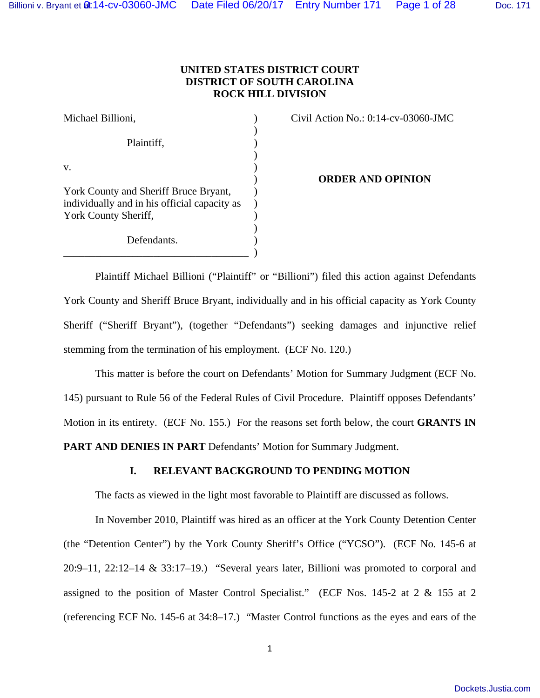# **UNITED STATES DISTRICT COURT DISTRICT OF SOUTH CAROLINA ROCK HILL DIVISION**

| Michael Billioni,                            |  |
|----------------------------------------------|--|
|                                              |  |
| Plaintiff,                                   |  |
|                                              |  |
| V.                                           |  |
|                                              |  |
| York County and Sheriff Bruce Bryant,        |  |
| individually and in his official capacity as |  |
| York County Sheriff,                         |  |
|                                              |  |
| Defendants.                                  |  |

Civil Action No.:  $0:14$ -cv-03060-JMC

) **ORDER AND OPINION**

 Plaintiff Michael Billioni ("Plaintiff" or "Billioni") filed this action against Defendants York County and Sheriff Bruce Bryant, individually and in his official capacity as York County Sheriff ("Sheriff Bryant"), (together "Defendants") seeking damages and injunctive relief stemming from the termination of his employment. (ECF No. 120.)

 $\qquad \qquad$ 

 This matter is before the court on Defendants' Motion for Summary Judgment (ECF No. 145) pursuant to Rule 56 of the Federal Rules of Civil Procedure. Plaintiff opposes Defendants' Motion in its entirety. (ECF No. 155.) For the reasons set forth below, the court **GRANTS IN PART AND DENIES IN PART** Defendants' Motion for Summary Judgment.

# **I. RELEVANT BACKGROUND TO PENDING MOTION**

The facts as viewed in the light most favorable to Plaintiff are discussed as follows.

 In November 2010, Plaintiff was hired as an officer at the York County Detention Center (the "Detention Center") by the York County Sheriff's Office ("YCSO"). (ECF No. 145-6 at 20:9–11, 22:12–14 & 33:17–19.) "Several years later, Billioni was promoted to corporal and assigned to the position of Master Control Specialist." (ECF Nos. 145-2 at 2 & 155 at 2 (referencing ECF No. 145-6 at 34:8–17.) "Master Control functions as the eyes and ears of the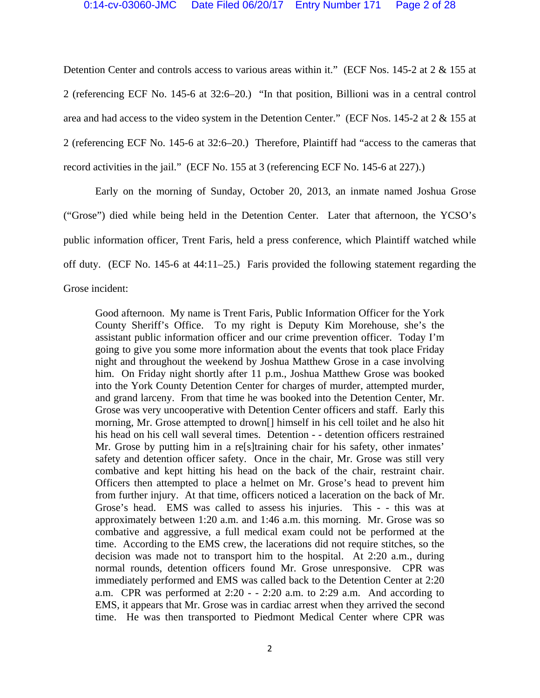Detention Center and controls access to various areas within it." (ECF Nos. 145-2 at 2 & 155 at 2 (referencing ECF No. 145-6 at 32:6–20.) "In that position, Billioni was in a central control area and had access to the video system in the Detention Center." (ECF Nos. 145-2 at 2 & 155 at 2 (referencing ECF No. 145-6 at 32:6–20.) Therefore, Plaintiff had "access to the cameras that record activities in the jail." (ECF No. 155 at 3 (referencing ECF No. 145-6 at 227).)

 Early on the morning of Sunday, October 20, 2013, an inmate named Joshua Grose ("Grose") died while being held in the Detention Center. Later that afternoon, the YCSO's public information officer, Trent Faris, held a press conference, which Plaintiff watched while off duty. (ECF No. 145-6 at 44:11–25.) Faris provided the following statement regarding the Grose incident:

Good afternoon. My name is Trent Faris, Public Information Officer for the York County Sheriff's Office. To my right is Deputy Kim Morehouse, she's the assistant public information officer and our crime prevention officer. Today I'm going to give you some more information about the events that took place Friday night and throughout the weekend by Joshua Matthew Grose in a case involving him. On Friday night shortly after 11 p.m., Joshua Matthew Grose was booked into the York County Detention Center for charges of murder, attempted murder, and grand larceny. From that time he was booked into the Detention Center, Mr. Grose was very uncooperative with Detention Center officers and staff. Early this morning, Mr. Grose attempted to drown[] himself in his cell toilet and he also hit his head on his cell wall several times. Detention - - detention officers restrained Mr. Grose by putting him in a resiltraining chair for his safety, other inmates' safety and detention officer safety. Once in the chair, Mr. Grose was still very combative and kept hitting his head on the back of the chair, restraint chair. Officers then attempted to place a helmet on Mr. Grose's head to prevent him from further injury. At that time, officers noticed a laceration on the back of Mr. Grose's head. EMS was called to assess his injuries. This - - this was at approximately between 1:20 a.m. and 1:46 a.m. this morning. Mr. Grose was so combative and aggressive, a full medical exam could not be performed at the time. According to the EMS crew, the lacerations did not require stitches, so the decision was made not to transport him to the hospital. At 2:20 a.m., during normal rounds, detention officers found Mr. Grose unresponsive. CPR was immediately performed and EMS was called back to the Detention Center at 2:20 a.m. CPR was performed at  $2:20 - 2:20$  a.m. to  $2:29$  a.m. And according to EMS, it appears that Mr. Grose was in cardiac arrest when they arrived the second time. He was then transported to Piedmont Medical Center where CPR was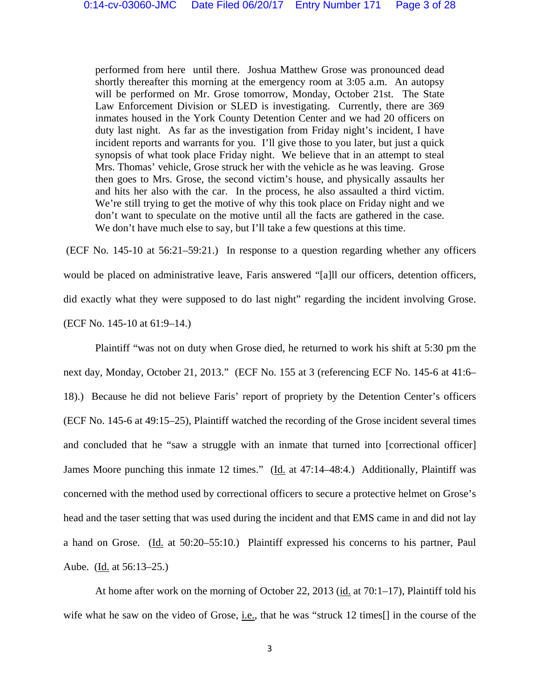performed from here until there. Joshua Matthew Grose was pronounced dead shortly thereafter this morning at the emergency room at 3:05 a.m. An autopsy will be performed on Mr. Grose tomorrow, Monday, October 21st. The State Law Enforcement Division or SLED is investigating. Currently, there are 369 inmates housed in the York County Detention Center and we had 20 officers on duty last night. As far as the investigation from Friday night's incident, I have incident reports and warrants for you. I'll give those to you later, but just a quick synopsis of what took place Friday night. We believe that in an attempt to steal Mrs. Thomas' vehicle, Grose struck her with the vehicle as he was leaving. Grose then goes to Mrs. Grose, the second victim's house, and physically assaults her and hits her also with the car. In the process, he also assaulted a third victim. We're still trying to get the motive of why this took place on Friday night and we don't want to speculate on the motive until all the facts are gathered in the case. We don't have much else to say, but I'll take a few questions at this time.

 (ECF No. 145-10 at 56:21–59:21.) In response to a question regarding whether any officers would be placed on administrative leave, Faris answered "[a]ll our officers, detention officers, did exactly what they were supposed to do last night" regarding the incident involving Grose. (ECF No. 145-10 at 61:9–14.)

 Plaintiff "was not on duty when Grose died, he returned to work his shift at 5:30 pm the next day, Monday, October 21, 2013." (ECF No. 155 at 3 (referencing ECF No. 145-6 at 41:6– 18).) Because he did not believe Faris' report of propriety by the Detention Center's officers (ECF No. 145-6 at 49:15–25), Plaintiff watched the recording of the Grose incident several times and concluded that he "saw a struggle with an inmate that turned into [correctional officer] James Moore punching this inmate 12 times." (Id. at 47:14-48:4.) Additionally, Plaintiff was concerned with the method used by correctional officers to secure a protective helmet on Grose's head and the taser setting that was used during the incident and that EMS came in and did not lay a hand on Grose. (Id. at 50:20–55:10.) Plaintiff expressed his concerns to his partner, Paul Aube. (Id. at 56:13–25.)

 At home after work on the morning of October 22, 2013 (id. at 70:1–17), Plaintiff told his wife what he saw on the video of Grose, i.e., that he was "struck 12 times[] in the course of the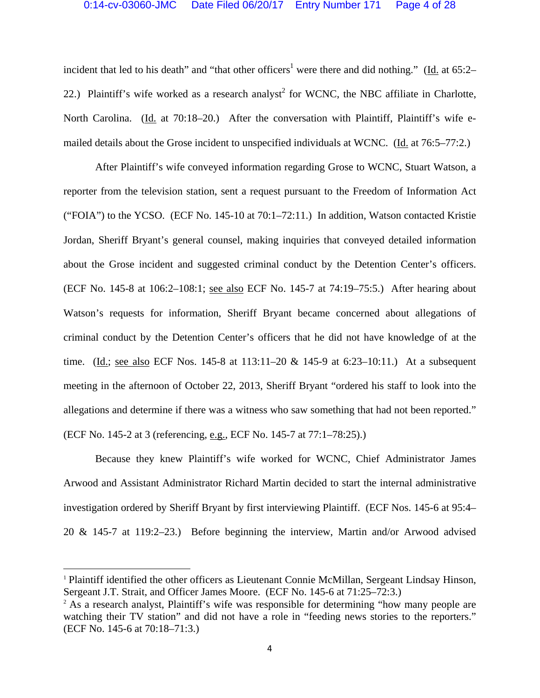incident that led to his death" and "that other officers<sup>1</sup> were there and did nothing." (Id. at 65:2– 22.) Plaintiff's wife worked as a research analyst<sup>2</sup> for WCNC, the NBC affiliate in Charlotte, North Carolina. (Id. at 70:18–20.) After the conversation with Plaintiff, Plaintiff's wife emailed details about the Grose incident to unspecified individuals at WCNC. (Id. at 76:5–77:2.)

 After Plaintiff's wife conveyed information regarding Grose to WCNC, Stuart Watson, a reporter from the television station, sent a request pursuant to the Freedom of Information Act ("FOIA") to the YCSO. (ECF No. 145-10 at 70:1–72:11.) In addition, Watson contacted Kristie Jordan, Sheriff Bryant's general counsel, making inquiries that conveyed detailed information about the Grose incident and suggested criminal conduct by the Detention Center's officers. (ECF No. 145-8 at 106:2–108:1; see also ECF No. 145-7 at 74:19–75:5.) After hearing about Watson's requests for information, Sheriff Bryant became concerned about allegations of criminal conduct by the Detention Center's officers that he did not have knowledge of at the time. (Id.; see also ECF Nos. 145-8 at 113:11–20 & 145-9 at 6:23–10:11.) At a subsequent meeting in the afternoon of October 22, 2013, Sheriff Bryant "ordered his staff to look into the allegations and determine if there was a witness who saw something that had not been reported." (ECF No. 145-2 at 3 (referencing, e.g., ECF No. 145-7 at 77:1–78:25).)

 Because they knew Plaintiff's wife worked for WCNC, Chief Administrator James Arwood and Assistant Administrator Richard Martin decided to start the internal administrative investigation ordered by Sheriff Bryant by first interviewing Plaintiff. (ECF Nos. 145-6 at 95:4– 20 & 145-7 at 119:2–23.) Before beginning the interview, Martin and/or Arwood advised

<sup>1</sup> Plaintiff identified the other officers as Lieutenant Connie McMillan, Sergeant Lindsay Hinson, Sergeant J.T. Strait, and Officer James Moore. (ECF No. 145-6 at 71:25–72:3.)<br><sup>2</sup> As a research analyst, Plaintiff's wife was responsible for determining "how many people are

watching their TV station" and did not have a role in "feeding news stories to the reporters." (ECF No. 145-6 at 70:18–71:3.)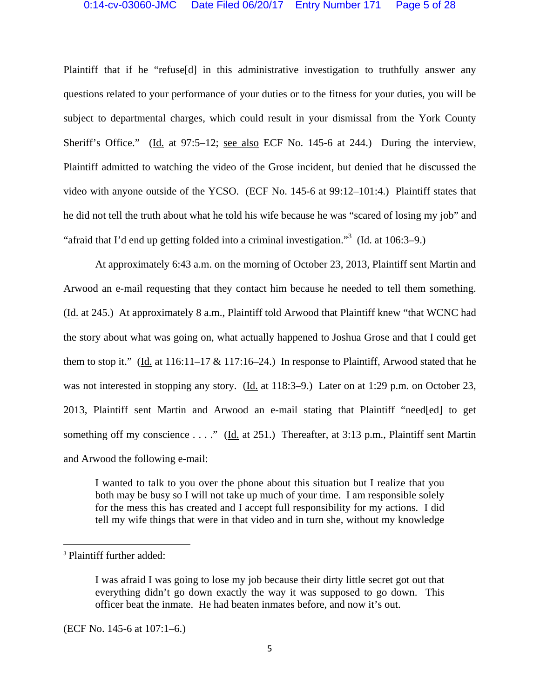#### 0:14-cv-03060-JMC Date Filed 06/20/17 Entry Number 171 Page 5 of 28

Plaintiff that if he "refuse[d] in this administrative investigation to truthfully answer any questions related to your performance of your duties or to the fitness for your duties, you will be subject to departmental charges, which could result in your dismissal from the York County Sheriff's Office." (Id. at 97:5–12; see also ECF No. 145-6 at 244.) During the interview, Plaintiff admitted to watching the video of the Grose incident, but denied that he discussed the video with anyone outside of the YCSO. (ECF No. 145-6 at 99:12–101:4.) Plaintiff states that he did not tell the truth about what he told his wife because he was "scared of losing my job" and "afraid that I'd end up getting folded into a criminal investigation."<sup>3</sup> (Id. at 106:3–9.)

 At approximately 6:43 a.m. on the morning of October 23, 2013, Plaintiff sent Martin and Arwood an e-mail requesting that they contact him because he needed to tell them something. (Id. at 245.) At approximately 8 a.m., Plaintiff told Arwood that Plaintiff knew "that WCNC had the story about what was going on, what actually happened to Joshua Grose and that I could get them to stop it." (Id. at  $116:11-17 \& 117:16-24$ .) In response to Plaintiff, Arwood stated that he was not interested in stopping any story. (Id. at 118:3–9.) Later on at 1:29 p.m. on October 23, 2013, Plaintiff sent Martin and Arwood an e-mail stating that Plaintiff "need[ed] to get something off my conscience . . . ." (Id. at 251.) Thereafter, at 3:13 p.m., Plaintiff sent Martin and Arwood the following e-mail:

I wanted to talk to you over the phone about this situation but I realize that you both may be busy so I will not take up much of your time. I am responsible solely for the mess this has created and I accept full responsibility for my actions. I did tell my wife things that were in that video and in turn she, without my knowledge

(ECF No. 145-6 at 107:1–6.)

<sup>&</sup>lt;sup>3</sup> Plaintiff further added:

I was afraid I was going to lose my job because their dirty little secret got out that everything didn't go down exactly the way it was supposed to go down. This officer beat the inmate. He had beaten inmates before, and now it's out.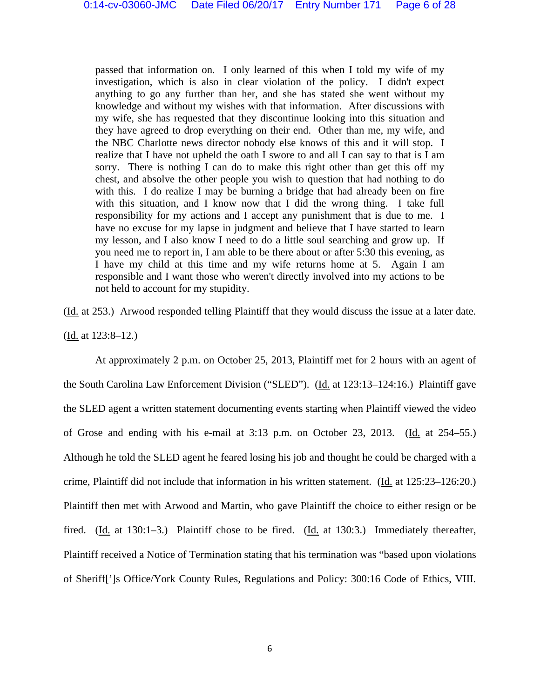passed that information on. I only learned of this when I told my wife of my investigation, which is also in clear violation of the policy. I didn't expect anything to go any further than her, and she has stated she went without my knowledge and without my wishes with that information. After discussions with my wife, she has requested that they discontinue looking into this situation and they have agreed to drop everything on their end. Other than me, my wife, and the NBC Charlotte news director nobody else knows of this and it will stop. I realize that I have not upheld the oath I swore to and all I can say to that is I am sorry. There is nothing I can do to make this right other than get this off my chest, and absolve the other people you wish to question that had nothing to do with this. I do realize I may be burning a bridge that had already been on fire with this situation, and I know now that I did the wrong thing. I take full responsibility for my actions and I accept any punishment that is due to me. I have no excuse for my lapse in judgment and believe that I have started to learn my lesson, and I also know I need to do a little soul searching and grow up. If you need me to report in, I am able to be there about or after 5:30 this evening, as I have my child at this time and my wife returns home at 5. Again I am responsible and I want those who weren't directly involved into my actions to be not held to account for my stupidity.

(Id. at 253.) Arwood responded telling Plaintiff that they would discuss the issue at a later date.

(Id. at 123:8–12.)

 At approximately 2 p.m. on October 25, 2013, Plaintiff met for 2 hours with an agent of the South Carolina Law Enforcement Division ("SLED"). (Id. at 123:13–124:16.) Plaintiff gave the SLED agent a written statement documenting events starting when Plaintiff viewed the video of Grose and ending with his e-mail at 3:13 p.m. on October 23, 2013. (Id. at 254–55.) Although he told the SLED agent he feared losing his job and thought he could be charged with a crime, Plaintiff did not include that information in his written statement. (Id. at 125:23–126:20.) Plaintiff then met with Arwood and Martin, who gave Plaintiff the choice to either resign or be fired. (Id. at 130:1–3.) Plaintiff chose to be fired. (Id. at 130:3.) Immediately thereafter, Plaintiff received a Notice of Termination stating that his termination was "based upon violations of Sheriff[']s Office/York County Rules, Regulations and Policy: 300:16 Code of Ethics, VIII.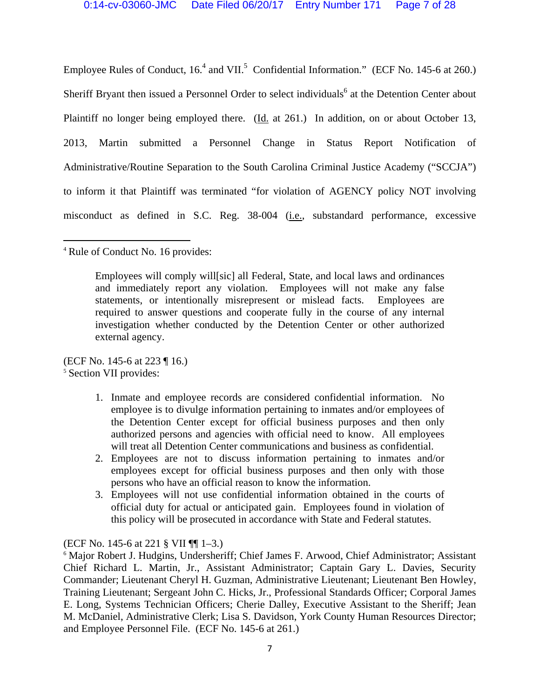Employee Rules of Conduct,  $16<sup>4</sup>$  and VII.<sup>5</sup> Confidential Information." (ECF No. 145-6 at 260.) Sheriff Bryant then issued a Personnel Order to select individuals<sup>6</sup> at the Detention Center about Plaintiff no longer being employed there. (Id. at 261.) In addition, on or about October 13, 2013, Martin submitted a Personnel Change in Status Report Notification of Administrative/Routine Separation to the South Carolina Criminal Justice Academy ("SCCJA") to inform it that Plaintiff was terminated "for violation of AGENCY policy NOT involving misconduct as defined in S.C. Reg. 38-004 (i.e., substandard performance, excessive

<sup>4</sup> Rule of Conduct No. 16 provides:

Employees will comply will[sic] all Federal, State, and local laws and ordinances and immediately report any violation. Employees will not make any false statements, or intentionally misrepresent or mislead facts. Employees are required to answer questions and cooperate fully in the course of any internal investigation whether conducted by the Detention Center or other authorized external agency.

(ECF No. 145-6 at 223  $\P$  16.) <sup>5</sup> Section VII provides:

- 1. Inmate and employee records are considered confidential information. No employee is to divulge information pertaining to inmates and/or employees of the Detention Center except for official business purposes and then only authorized persons and agencies with official need to know. All employees will treat all Detention Center communications and business as confidential.
- 2. Employees are not to discuss information pertaining to inmates and/or employees except for official business purposes and then only with those persons who have an official reason to know the information.
- 3. Employees will not use confidential information obtained in the courts of official duty for actual or anticipated gain. Employees found in violation of this policy will be prosecuted in accordance with State and Federal statutes.

(ECF No. 145-6 at 221 § VII ¶¶ 1–3.)

<sup>&</sup>lt;sup>6</sup> Major Robert J. Hudgins, Undersheriff; Chief James F. Arwood, Chief Administrator; Assistant Chief Richard L. Martin, Jr., Assistant Administrator; Captain Gary L. Davies, Security Commander; Lieutenant Cheryl H. Guzman, Administrative Lieutenant; Lieutenant Ben Howley, Training Lieutenant; Sergeant John C. Hicks, Jr., Professional Standards Officer; Corporal James E. Long, Systems Technician Officers; Cherie Dalley, Executive Assistant to the Sheriff; Jean M. McDaniel, Administrative Clerk; Lisa S. Davidson, York County Human Resources Director; and Employee Personnel File. (ECF No. 145-6 at 261.)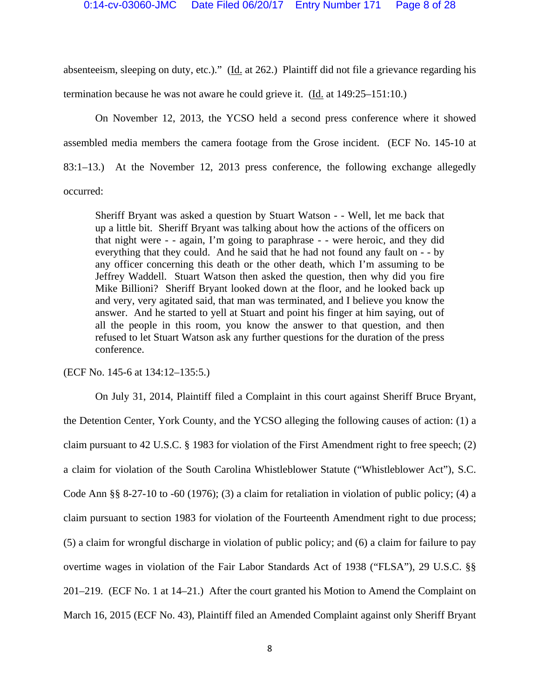absenteeism, sleeping on duty, etc.)." (Id. at 262.) Plaintiff did not file a grievance regarding his termination because he was not aware he could grieve it. (Id. at 149:25–151:10.)

 On November 12, 2013, the YCSO held a second press conference where it showed assembled media members the camera footage from the Grose incident. (ECF No. 145-10 at 83:1–13.) At the November 12, 2013 press conference, the following exchange allegedly occurred:

Sheriff Bryant was asked a question by Stuart Watson - - Well, let me back that up a little bit. Sheriff Bryant was talking about how the actions of the officers on that night were - - again, I'm going to paraphrase - - were heroic, and they did everything that they could. And he said that he had not found any fault on - - by any officer concerning this death or the other death, which I'm assuming to be Jeffrey Waddell. Stuart Watson then asked the question, then why did you fire Mike Billioni? Sheriff Bryant looked down at the floor, and he looked back up and very, very agitated said, that man was terminated, and I believe you know the answer. And he started to yell at Stuart and point his finger at him saying, out of all the people in this room, you know the answer to that question, and then refused to let Stuart Watson ask any further questions for the duration of the press conference.

(ECF No. 145-6 at 134:12–135:5.)

 On July 31, 2014, Plaintiff filed a Complaint in this court against Sheriff Bruce Bryant, the Detention Center, York County, and the YCSO alleging the following causes of action: (1) a claim pursuant to 42 U.S.C. § 1983 for violation of the First Amendment right to free speech; (2) a claim for violation of the South Carolina Whistleblower Statute ("Whistleblower Act"), S.C. Code Ann §§ 8-27-10 to -60 (1976); (3) a claim for retaliation in violation of public policy; (4) a claim pursuant to section 1983 for violation of the Fourteenth Amendment right to due process; (5) a claim for wrongful discharge in violation of public policy; and (6) a claim for failure to pay overtime wages in violation of the Fair Labor Standards Act of 1938 ("FLSA"), 29 U.S.C. §§ 201–219. (ECF No. 1 at 14–21.) After the court granted his Motion to Amend the Complaint on March 16, 2015 (ECF No. 43), Plaintiff filed an Amended Complaint against only Sheriff Bryant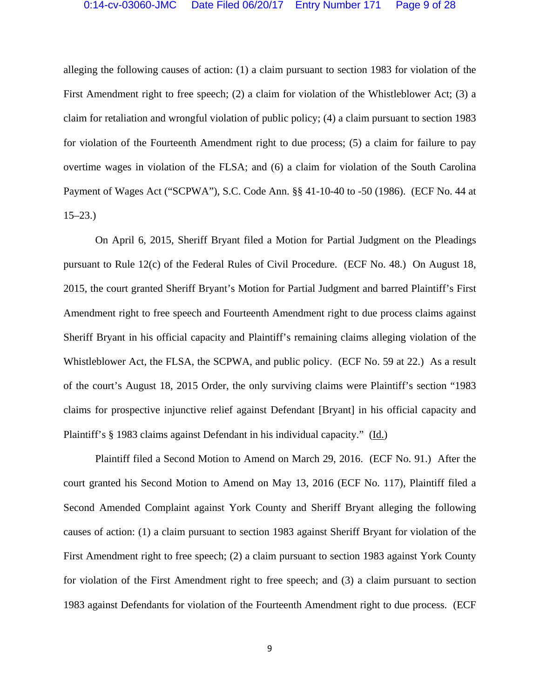alleging the following causes of action: (1) a claim pursuant to section 1983 for violation of the First Amendment right to free speech; (2) a claim for violation of the Whistleblower Act; (3) a claim for retaliation and wrongful violation of public policy; (4) a claim pursuant to section 1983 for violation of the Fourteenth Amendment right to due process; (5) a claim for failure to pay overtime wages in violation of the FLSA; and (6) a claim for violation of the South Carolina Payment of Wages Act ("SCPWA"), S.C. Code Ann. §§ 41-10-40 to -50 (1986). (ECF No. 44 at 15–23.)

 On April 6, 2015, Sheriff Bryant filed a Motion for Partial Judgment on the Pleadings pursuant to Rule 12(c) of the Federal Rules of Civil Procedure. (ECF No. 48.) On August 18, 2015, the court granted Sheriff Bryant's Motion for Partial Judgment and barred Plaintiff's First Amendment right to free speech and Fourteenth Amendment right to due process claims against Sheriff Bryant in his official capacity and Plaintiff's remaining claims alleging violation of the Whistleblower Act, the FLSA, the SCPWA, and public policy. (ECF No. 59 at 22.) As a result of the court's August 18, 2015 Order, the only surviving claims were Plaintiff's section "1983 claims for prospective injunctive relief against Defendant [Bryant] in his official capacity and Plaintiff's § 1983 claims against Defendant in his individual capacity." (Id.)

 Plaintiff filed a Second Motion to Amend on March 29, 2016. (ECF No. 91.) After the court granted his Second Motion to Amend on May 13, 2016 (ECF No. 117), Plaintiff filed a Second Amended Complaint against York County and Sheriff Bryant alleging the following causes of action: (1) a claim pursuant to section 1983 against Sheriff Bryant for violation of the First Amendment right to free speech; (2) a claim pursuant to section 1983 against York County for violation of the First Amendment right to free speech; and (3) a claim pursuant to section 1983 against Defendants for violation of the Fourteenth Amendment right to due process. (ECF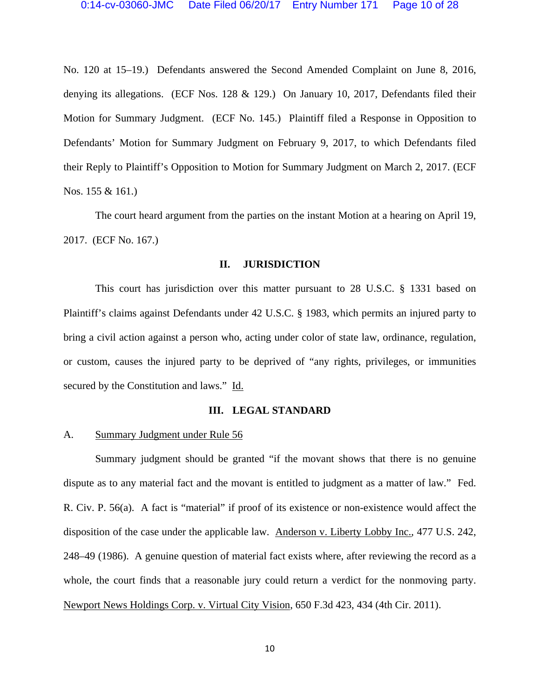No. 120 at 15–19.) Defendants answered the Second Amended Complaint on June 8, 2016, denying its allegations. (ECF Nos. 128 & 129.) On January 10, 2017, Defendants filed their Motion for Summary Judgment. (ECF No. 145.) Plaintiff filed a Response in Opposition to Defendants' Motion for Summary Judgment on February 9, 2017, to which Defendants filed their Reply to Plaintiff's Opposition to Motion for Summary Judgment on March 2, 2017. (ECF Nos. 155 & 161.)

 The court heard argument from the parties on the instant Motion at a hearing on April 19, 2017. (ECF No. 167.)

#### **II. JURISDICTION**

This court has jurisdiction over this matter pursuant to 28 U.S.C. § 1331 based on Plaintiff's claims against Defendants under 42 U.S.C. § 1983, which permits an injured party to bring a civil action against a person who, acting under color of state law, ordinance, regulation, or custom, causes the injured party to be deprived of "any rights, privileges, or immunities secured by the Constitution and laws." Id.

#### **III. LEGAL STANDARD**

## A. Summary Judgment under Rule 56

Summary judgment should be granted "if the movant shows that there is no genuine dispute as to any material fact and the movant is entitled to judgment as a matter of law." Fed. R. Civ. P. 56(a). A fact is "material" if proof of its existence or non-existence would affect the disposition of the case under the applicable law. Anderson v. Liberty Lobby Inc., 477 U.S. 242, 248–49 (1986). A genuine question of material fact exists where, after reviewing the record as a whole, the court finds that a reasonable jury could return a verdict for the nonmoving party. Newport News Holdings Corp. v. Virtual City Vision, 650 F.3d 423, 434 (4th Cir. 2011).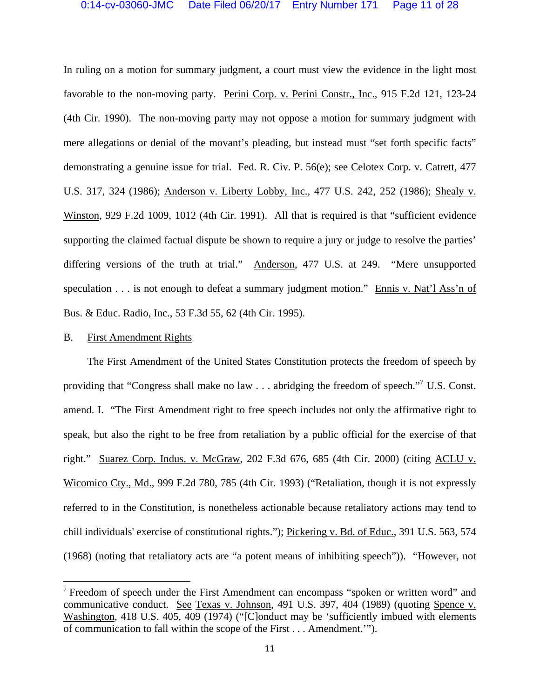In ruling on a motion for summary judgment, a court must view the evidence in the light most favorable to the non-moving party. Perini Corp. v. Perini Constr., Inc., 915 F.2d 121, 123-24 (4th Cir. 1990). The non-moving party may not oppose a motion for summary judgment with mere allegations or denial of the movant's pleading, but instead must "set forth specific facts" demonstrating a genuine issue for trial. Fed. R. Civ. P. 56(e); see Celotex Corp. v. Catrett, 477 U.S. 317, 324 (1986); Anderson v. Liberty Lobby, Inc., 477 U.S. 242, 252 (1986); Shealy v. Winston, 929 F.2d 1009, 1012 (4th Cir. 1991). All that is required is that "sufficient evidence supporting the claimed factual dispute be shown to require a jury or judge to resolve the parties' differing versions of the truth at trial." Anderson, 477 U.S. at 249. "Mere unsupported speculation . . . is not enough to defeat a summary judgment motion." Ennis v. Nat'l Ass'n of Bus. & Educ. Radio, Inc., 53 F.3d 55, 62 (4th Cir. 1995).

#### B. First Amendment Rights

 The First Amendment of the United States Constitution protects the freedom of speech by providing that "Congress shall make no law  $\dots$  abridging the freedom of speech."<sup>7</sup> U.S. Const. amend. I. "The First Amendment right to free speech includes not only the affirmative right to speak, but also the right to be free from retaliation by a public official for the exercise of that right." Suarez Corp. Indus. v. McGraw, 202 F.3d 676, 685 (4th Cir. 2000) (citing ACLU v. Wicomico Cty., Md., 999 F.2d 780, 785 (4th Cir. 1993) ("Retaliation, though it is not expressly referred to in the Constitution, is nonetheless actionable because retaliatory actions may tend to chill individuals' exercise of constitutional rights."); Pickering v. Bd. of Educ., 391 U.S. 563, 574 (1968) (noting that retaliatory acts are "a potent means of inhibiting speech")). "However, not

<sup>7</sup> Freedom of speech under the First Amendment can encompass "spoken or written word" and communicative conduct. See Texas v. Johnson, 491 U.S. 397, 404 (1989) (quoting Spence v. Washington, 418 U.S. 405, 409 (1974) ("[C]onduct may be 'sufficiently imbued with elements of communication to fall within the scope of the First . . . Amendment.'").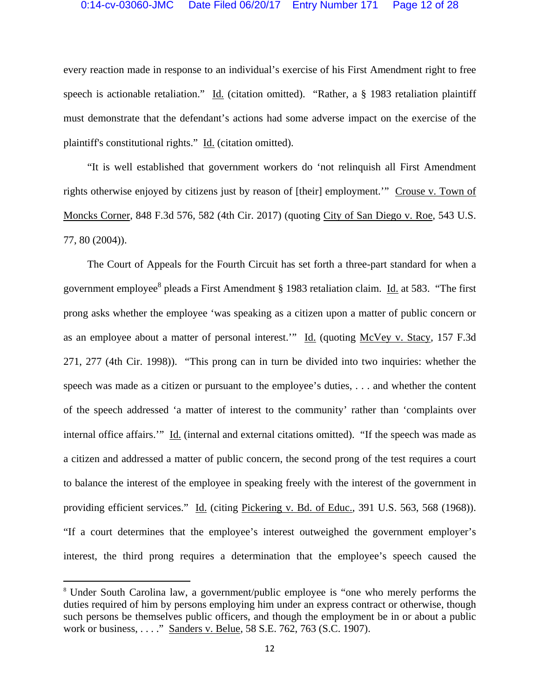every reaction made in response to an individual's exercise of his First Amendment right to free speech is actionable retaliation." Id. (citation omitted). "Rather, a § 1983 retaliation plaintiff must demonstrate that the defendant's actions had some adverse impact on the exercise of the plaintiff's constitutional rights." Id. (citation omitted).

 "It is well established that government workers do 'not relinquish all First Amendment rights otherwise enjoyed by citizens just by reason of [their] employment.'" Crouse v. Town of Moncks Corner, 848 F.3d 576, 582 (4th Cir. 2017) (quoting City of San Diego v. Roe, 543 U.S. 77, 80 (2004)).

 The Court of Appeals for the Fourth Circuit has set forth a three-part standard for when a government employee<sup>8</sup> pleads a First Amendment § 1983 retaliation claim. Id. at 583. "The first prong asks whether the employee 'was speaking as a citizen upon a matter of public concern or as an employee about a matter of personal interest." Id. (quoting McVey v. Stacy, 157 F.3d 271, 277 (4th Cir. 1998)). "This prong can in turn be divided into two inquiries: whether the speech was made as a citizen or pursuant to the employee's duties, . . . and whether the content of the speech addressed 'a matter of interest to the community' rather than 'complaints over internal office affairs.'" Id. (internal and external citations omitted). "If the speech was made as a citizen and addressed a matter of public concern, the second prong of the test requires a court to balance the interest of the employee in speaking freely with the interest of the government in providing efficient services." Id. (citing Pickering v. Bd. of Educ., 391 U.S. 563, 568 (1968)). "If a court determines that the employee's interest outweighed the government employer's interest, the third prong requires a determination that the employee's speech caused the

<sup>8</sup> Under South Carolina law, a government/public employee is "one who merely performs the duties required of him by persons employing him under an express contract or otherwise, though such persons be themselves public officers, and though the employment be in or about a public work or business, . . . ." Sanders v. Belue, 58 S.E. 762, 763 (S.C. 1907).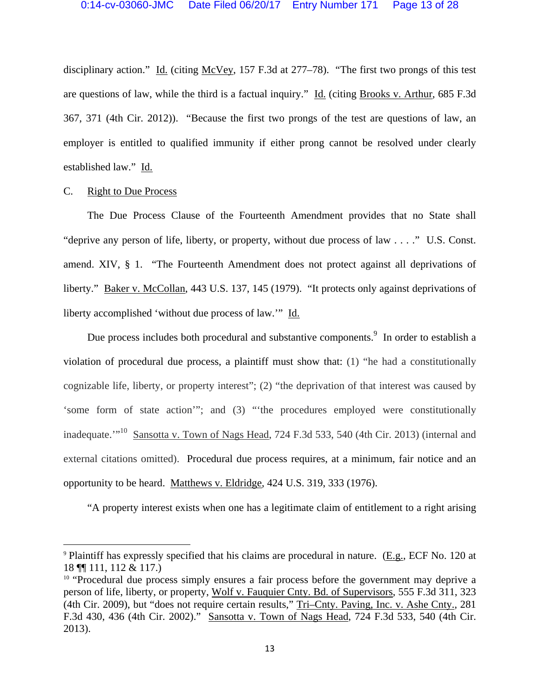disciplinary action." Id. (citing McVey, 157 F.3d at 277-78). "The first two prongs of this test are questions of law, while the third is a factual inquiry." Id. (citing Brooks v. Arthur, 685 F.3d 367, 371 (4th Cir. 2012)). "Because the first two prongs of the test are questions of law, an employer is entitled to qualified immunity if either prong cannot be resolved under clearly established law." Id.

## C. Right to Due Process

The Due Process Clause of the Fourteenth Amendment provides that no State shall "deprive any person of life, liberty, or property, without due process of law . . . ." U.S. Const. amend. XIV, § 1. "The Fourteenth Amendment does not protect against all deprivations of liberty." Baker v. McCollan, 443 U.S. 137, 145 (1979). "It protects only against deprivations of liberty accomplished 'without due process of law.'" Id.

Due process includes both procedural and substantive components.<sup>9</sup> In order to establish a violation of procedural due process, a plaintiff must show that: (1) "he had a constitutionally cognizable life, liberty, or property interest"; (2) "the deprivation of that interest was caused by 'some form of state action'"; and (3) "'the procedures employed were constitutionally inadequate.'"<sup>10</sup> Sansotta v. Town of Nags Head, 724 F.3d 533, 540 (4th Cir. 2013) (internal and external citations omitted). Procedural due process requires, at a minimum, fair notice and an opportunity to be heard. Matthews v. Eldridge, 424 U.S. 319, 333 (1976).

"A property interest exists when one has a legitimate claim of entitlement to a right arising

<sup>9</sup> Plaintiff has expressly specified that his claims are procedural in nature. (E.g., ECF No. 120 at 18  $\P$  111, 112 & 117.)<br><sup>10</sup> "Procedural due process simply ensures a fair process before the government may deprive a

person of life, liberty, or property, Wolf v. Fauquier Cnty. Bd. of Supervisors, 555 F.3d 311, 323 (4th Cir. 2009), but "does not require certain results," Tri–Cnty. Paving, Inc. v. Ashe Cnty., 281 F.3d 430, 436 (4th Cir. 2002)." Sansotta v. Town of Nags Head, 724 F.3d 533, 540 (4th Cir. 2013).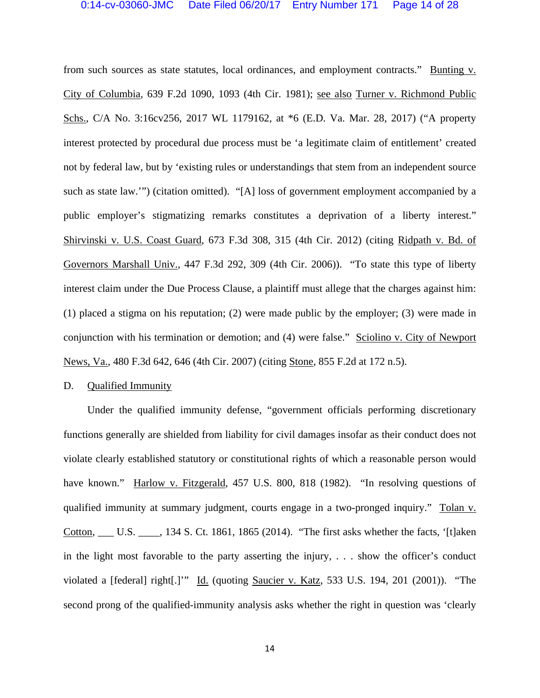from such sources as state statutes, local ordinances, and employment contracts." Bunting v. City of Columbia, 639 F.2d 1090, 1093 (4th Cir. 1981); see also Turner v. Richmond Public Schs., C/A No. 3:16cv256, 2017 WL 1179162, at \*6 (E.D. Va. Mar. 28, 2017) ("A property interest protected by procedural due process must be 'a legitimate claim of entitlement' created not by federal law, but by 'existing rules or understandings that stem from an independent source such as state law.'") (citation omitted). "[A] loss of government employment accompanied by a public employer's stigmatizing remarks constitutes a deprivation of a liberty interest." Shirvinski v. U.S. Coast Guard, 673 F.3d 308, 315 (4th Cir. 2012) (citing Ridpath v. Bd. of Governors Marshall Univ., 447 F.3d 292, 309 (4th Cir. 2006)). "To state this type of liberty interest claim under the Due Process Clause, a plaintiff must allege that the charges against him: (1) placed a stigma on his reputation; (2) were made public by the employer; (3) were made in conjunction with his termination or demotion; and (4) were false." Sciolino v. City of Newport News, Va., 480 F.3d 642, 646 (4th Cir. 2007) (citing Stone, 855 F.2d at 172 n.5).

#### D. Qualified Immunity

 Under the qualified immunity defense, "government officials performing discretionary functions generally are shielded from liability for civil damages insofar as their conduct does not violate clearly established statutory or constitutional rights of which a reasonable person would have known." Harlow v. Fitzgerald, 457 U.S. 800, 818 (1982). "In resolving questions of qualified immunity at summary judgment, courts engage in a two-pronged inquiry." Tolan v. Cotton, \_\_\_ U.S. \_\_\_\_, 134 S. Ct. 1861, 1865 (2014). "The first asks whether the facts, '[t]aken in the light most favorable to the party asserting the injury, . . . show the officer's conduct violated a [federal] right[.]'" Id. (quoting Saucier v. Katz, 533 U.S. 194, 201 (2001)). "The second prong of the qualified-immunity analysis asks whether the right in question was 'clearly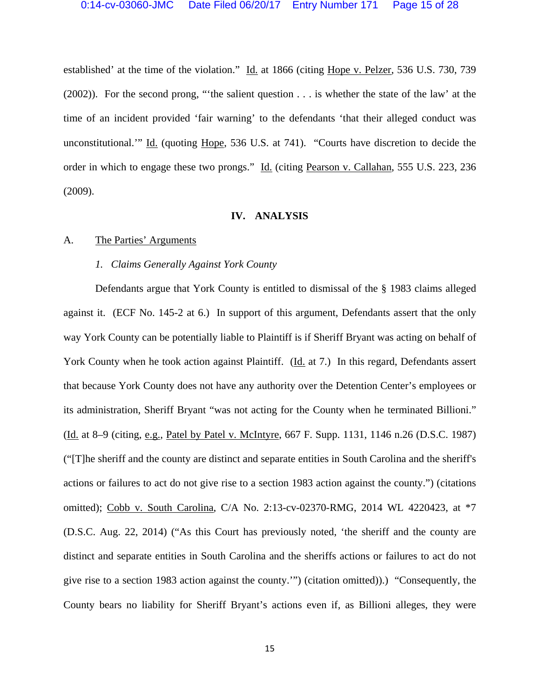established' at the time of the violation." Id. at 1866 (citing Hope v. Pelzer, 536 U.S. 730, 739 (2002)). For the second prong, "'the salient question . . . is whether the state of the law' at the time of an incident provided 'fair warning' to the defendants 'that their alleged conduct was unconstitutional.'" Id. (quoting Hope, 536 U.S. at 741). "Courts have discretion to decide the order in which to engage these two prongs." Id. (citing Pearson v. Callahan, 555 U.S. 223, 236 (2009).

#### **IV. ANALYSIS**

## A. The Parties' Arguments

#### *1. Claims Generally Against York County*

 Defendants argue that York County is entitled to dismissal of the § 1983 claims alleged against it. (ECF No. 145-2 at 6.) In support of this argument, Defendants assert that the only way York County can be potentially liable to Plaintiff is if Sheriff Bryant was acting on behalf of York County when he took action against Plaintiff. (Id. at 7.) In this regard, Defendants assert that because York County does not have any authority over the Detention Center's employees or its administration, Sheriff Bryant "was not acting for the County when he terminated Billioni." (Id. at 8–9 (citing, e.g., Patel by Patel v. McIntyre, 667 F. Supp. 1131, 1146 n.26 (D.S.C. 1987) ("[T]he sheriff and the county are distinct and separate entities in South Carolina and the sheriff's actions or failures to act do not give rise to a section 1983 action against the county.") (citations omitted); Cobb v. South Carolina, C/A No. 2:13-cv-02370-RMG, 2014 WL 4220423, at \*7 (D.S.C. Aug. 22, 2014) ("As this Court has previously noted, 'the sheriff and the county are distinct and separate entities in South Carolina and the sheriffs actions or failures to act do not give rise to a section 1983 action against the county.'") (citation omitted)).) "Consequently, the County bears no liability for Sheriff Bryant's actions even if, as Billioni alleges, they were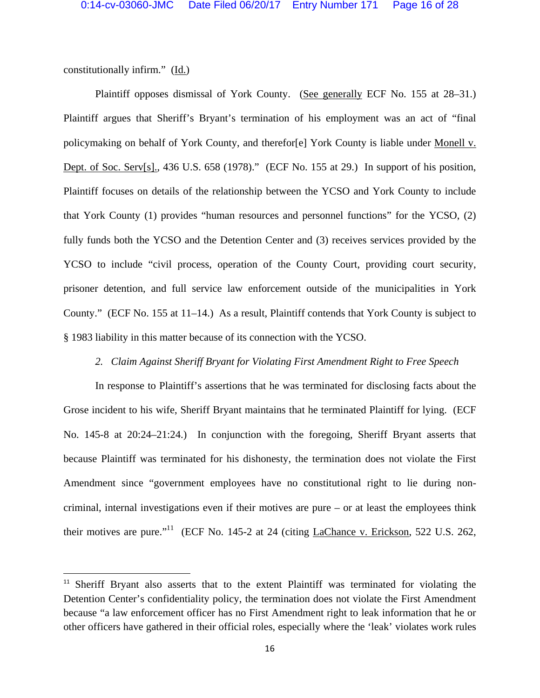constitutionally infirm." (Id.)

 Plaintiff opposes dismissal of York County. (See generally ECF No. 155 at 28–31.) Plaintiff argues that Sheriff's Bryant's termination of his employment was an act of "final policymaking on behalf of York County, and therefor[e] York County is liable under Monell v. Dept. of Soc. Serv[s]., 436 U.S. 658 (1978)." (ECF No. 155 at 29.) In support of his position, Plaintiff focuses on details of the relationship between the YCSO and York County to include that York County (1) provides "human resources and personnel functions" for the YCSO, (2) fully funds both the YCSO and the Detention Center and (3) receives services provided by the YCSO to include "civil process, operation of the County Court, providing court security, prisoner detention, and full service law enforcement outside of the municipalities in York County." (ECF No. 155 at 11–14.) As a result, Plaintiff contends that York County is subject to § 1983 liability in this matter because of its connection with the YCSO.

## *2. Claim Against Sheriff Bryant for Violating First Amendment Right to Free Speech*

 In response to Plaintiff's assertions that he was terminated for disclosing facts about the Grose incident to his wife, Sheriff Bryant maintains that he terminated Plaintiff for lying. (ECF No. 145-8 at 20:24–21:24.) In conjunction with the foregoing, Sheriff Bryant asserts that because Plaintiff was terminated for his dishonesty, the termination does not violate the First Amendment since "government employees have no constitutional right to lie during noncriminal, internal investigations even if their motives are pure – or at least the employees think their motives are pure."<sup>11</sup> (ECF No. 145-2 at 24 (citing LaChance v. Erickson, 522 U.S. 262,

<sup>&</sup>lt;sup>11</sup> Sheriff Bryant also asserts that to the extent Plaintiff was terminated for violating the Detention Center's confidentiality policy, the termination does not violate the First Amendment because "a law enforcement officer has no First Amendment right to leak information that he or other officers have gathered in their official roles, especially where the 'leak' violates work rules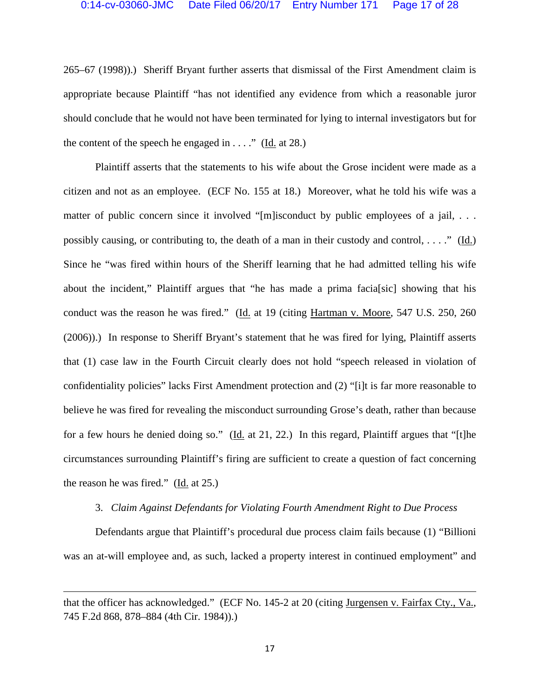265–67 (1998)).) Sheriff Bryant further asserts that dismissal of the First Amendment claim is appropriate because Plaintiff "has not identified any evidence from which a reasonable juror should conclude that he would not have been terminated for lying to internal investigators but for the content of the speech he engaged in  $\dots$ ." (Id. at 28.)

 Plaintiff asserts that the statements to his wife about the Grose incident were made as a citizen and not as an employee. (ECF No. 155 at 18.) Moreover, what he told his wife was a matter of public concern since it involved "[m]isconduct by public employees of a jail, ... possibly causing, or contributing to, the death of a man in their custody and control, . . . ." (Id.) Since he "was fired within hours of the Sheriff learning that he had admitted telling his wife about the incident," Plaintiff argues that "he has made a prima facia[sic] showing that his conduct was the reason he was fired." (Id. at 19 (citing Hartman v. Moore, 547 U.S. 250, 260 (2006)).) In response to Sheriff Bryant's statement that he was fired for lying, Plaintiff asserts that (1) case law in the Fourth Circuit clearly does not hold "speech released in violation of confidentiality policies" lacks First Amendment protection and (2) "[i]t is far more reasonable to believe he was fired for revealing the misconduct surrounding Grose's death, rather than because for a few hours he denied doing so." (Id. at 21, 22.) In this regard, Plaintiff argues that "[t]he circumstances surrounding Plaintiff's firing are sufficient to create a question of fact concerning the reason he was fired." (Id. at 25.)

## 3. *Claim Against Defendants for Violating Fourth Amendment Right to Due Process*

 Defendants argue that Plaintiff's procedural due process claim fails because (1) "Billioni was an at-will employee and, as such, lacked a property interest in continued employment" and

<u> 1989 - Johann Stoff, amerikansk politiker (d. 1989)</u>

that the officer has acknowledged." (ECF No. 145-2 at 20 (citing Jurgensen v. Fairfax Cty., Va., 745 F.2d 868, 878–884 (4th Cir. 1984)).)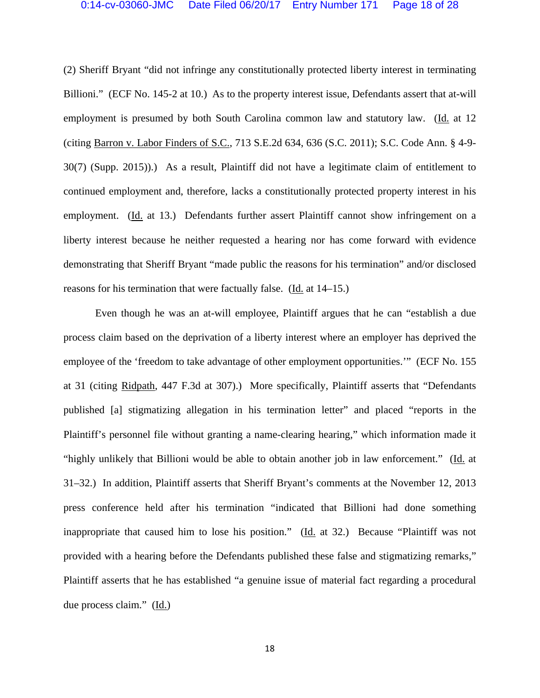(2) Sheriff Bryant "did not infringe any constitutionally protected liberty interest in terminating Billioni." (ECF No. 145-2 at 10.) As to the property interest issue, Defendants assert that at-will employment is presumed by both South Carolina common law and statutory law. (Id. at 12 (citing Barron v. Labor Finders of S.C., 713 S.E.2d 634, 636 (S.C. 2011); S.C. Code Ann. § 4-9- 30(7) (Supp. 2015)).) As a result, Plaintiff did not have a legitimate claim of entitlement to continued employment and, therefore, lacks a constitutionally protected property interest in his employment. (Id. at 13.) Defendants further assert Plaintiff cannot show infringement on a liberty interest because he neither requested a hearing nor has come forward with evidence demonstrating that Sheriff Bryant "made public the reasons for his termination" and/or disclosed reasons for his termination that were factually false. (Id. at 14–15.)

 Even though he was an at-will employee, Plaintiff argues that he can "establish a due process claim based on the deprivation of a liberty interest where an employer has deprived the employee of the 'freedom to take advantage of other employment opportunities.'" (ECF No. 155 at 31 (citing Ridpath, 447 F.3d at 307).) More specifically, Plaintiff asserts that "Defendants published [a] stigmatizing allegation in his termination letter" and placed "reports in the Plaintiff's personnel file without granting a name-clearing hearing," which information made it "highly unlikely that Billioni would be able to obtain another job in law enforcement." (Id. at 31–32.) In addition, Plaintiff asserts that Sheriff Bryant's comments at the November 12, 2013 press conference held after his termination "indicated that Billioni had done something inappropriate that caused him to lose his position." (Id. at 32.) Because "Plaintiff was not provided with a hearing before the Defendants published these false and stigmatizing remarks," Plaintiff asserts that he has established "a genuine issue of material fact regarding a procedural due process claim." (Id.)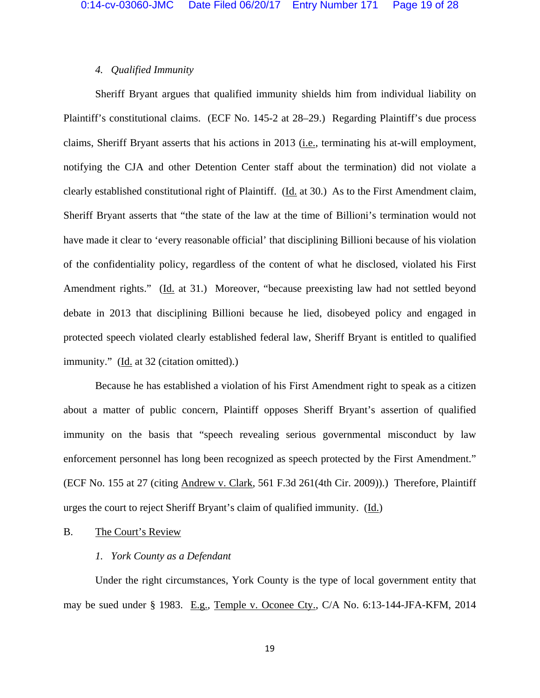# *4. Qualified Immunity*

 Sheriff Bryant argues that qualified immunity shields him from individual liability on Plaintiff's constitutional claims. (ECF No. 145-2 at 28–29.) Regarding Plaintiff's due process claims, Sheriff Bryant asserts that his actions in 2013 (i.e., terminating his at-will employment, notifying the CJA and other Detention Center staff about the termination) did not violate a clearly established constitutional right of Plaintiff. (Id. at 30.) As to the First Amendment claim, Sheriff Bryant asserts that "the state of the law at the time of Billioni's termination would not have made it clear to 'every reasonable official' that disciplining Billioni because of his violation of the confidentiality policy, regardless of the content of what he disclosed, violated his First Amendment rights." (Id. at 31.) Moreover, "because preexisting law had not settled beyond debate in 2013 that disciplining Billioni because he lied, disobeyed policy and engaged in protected speech violated clearly established federal law, Sheriff Bryant is entitled to qualified immunity." (Id. at 32 (citation omitted).)

 Because he has established a violation of his First Amendment right to speak as a citizen about a matter of public concern, Plaintiff opposes Sheriff Bryant's assertion of qualified immunity on the basis that "speech revealing serious governmental misconduct by law enforcement personnel has long been recognized as speech protected by the First Amendment." (ECF No. 155 at 27 (citing Andrew v. Clark, 561 F.3d 261(4th Cir. 2009)).) Therefore, Plaintiff urges the court to reject Sheriff Bryant's claim of qualified immunity. (Id.)

## B. The Court's Review

# *1. York County as a Defendant*

 Under the right circumstances, York County is the type of local government entity that may be sued under § 1983. E.g., Temple v. Oconee Cty., C/A No. 6:13-144-JFA-KFM, 2014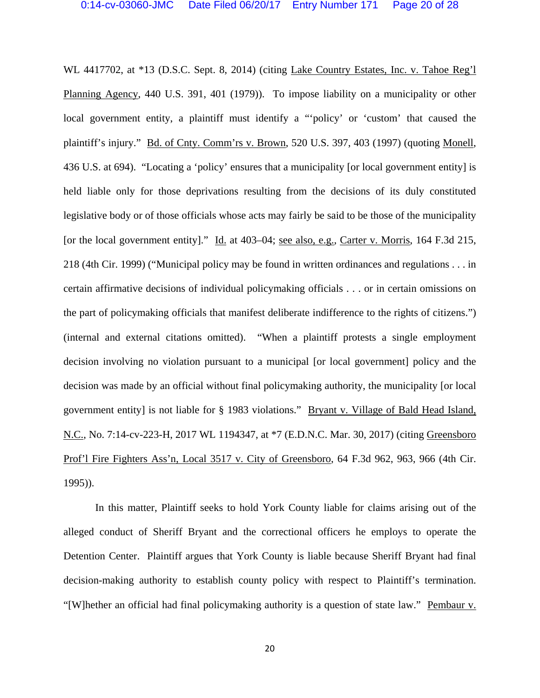WL 4417702, at \*13 (D.S.C. Sept. 8, 2014) (citing Lake Country Estates, Inc. v. Tahoe Reg'l Planning Agency, 440 U.S. 391, 401 (1979)). To impose liability on a municipality or other local government entity, a plaintiff must identify a "'policy' or 'custom' that caused the plaintiff's injury." Bd. of Cnty. Comm'rs v. Brown, 520 U.S. 397, 403 (1997) (quoting Monell, 436 U.S. at 694). "Locating a 'policy' ensures that a municipality [or local government entity] is held liable only for those deprivations resulting from the decisions of its duly constituted legislative body or of those officials whose acts may fairly be said to be those of the municipality [or the local government entity]." Id. at 403–04; see also, e.g., Carter v. Morris, 164 F.3d 215, 218 (4th Cir. 1999) ("Municipal policy may be found in written ordinances and regulations . . . in certain affirmative decisions of individual policymaking officials . . . or in certain omissions on the part of policymaking officials that manifest deliberate indifference to the rights of citizens.") (internal and external citations omitted). "When a plaintiff protests a single employment decision involving no violation pursuant to a municipal [or local government] policy and the decision was made by an official without final policymaking authority, the municipality [or local government entity] is not liable for § 1983 violations." Bryant v. Village of Bald Head Island, N.C., No. 7:14-cv-223-H, 2017 WL 1194347, at \*7 (E.D.N.C. Mar. 30, 2017) (citing Greensboro Prof'l Fire Fighters Ass'n, Local 3517 v. City of Greensboro, 64 F.3d 962, 963, 966 (4th Cir. 1995)).

 In this matter, Plaintiff seeks to hold York County liable for claims arising out of the alleged conduct of Sheriff Bryant and the correctional officers he employs to operate the Detention Center. Plaintiff argues that York County is liable because Sheriff Bryant had final decision-making authority to establish county policy with respect to Plaintiff's termination. "[W]hether an official had final policymaking authority is a question of state law." Pembaur v.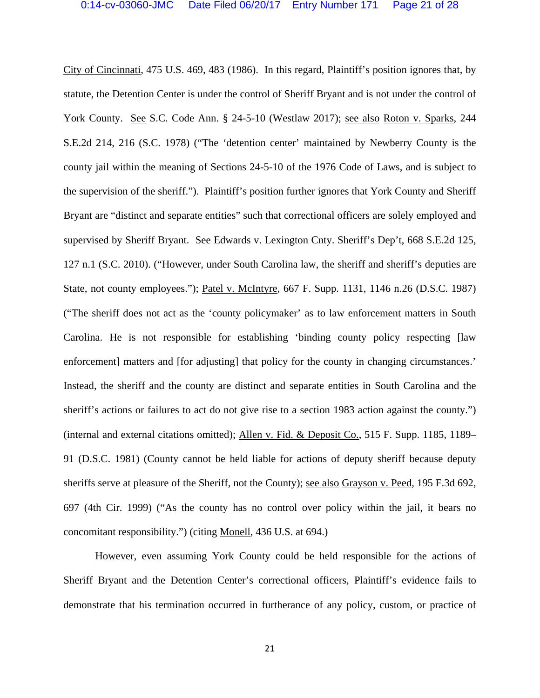City of Cincinnati, 475 U.S. 469, 483 (1986). In this regard, Plaintiff's position ignores that, by statute, the Detention Center is under the control of Sheriff Bryant and is not under the control of York County. See S.C. Code Ann. § 24-5-10 (Westlaw 2017); see also Roton v. Sparks, 244 S.E.2d 214, 216 (S.C. 1978) ("The 'detention center' maintained by Newberry County is the county jail within the meaning of Sections 24-5-10 of the 1976 Code of Laws, and is subject to the supervision of the sheriff."). Plaintiff's position further ignores that York County and Sheriff Bryant are "distinct and separate entities" such that correctional officers are solely employed and supervised by Sheriff Bryant. See Edwards v. Lexington Cnty. Sheriff's Dep't, 668 S.E.2d 125, 127 n.1 (S.C. 2010). ("However, under South Carolina law, the sheriff and sheriff's deputies are State, not county employees."); Patel v. McIntyre, 667 F. Supp. 1131, 1146 n.26 (D.S.C. 1987) ("The sheriff does not act as the 'county policymaker' as to law enforcement matters in South Carolina. He is not responsible for establishing 'binding county policy respecting [law enforcement] matters and [for adjusting] that policy for the county in changing circumstances.' Instead, the sheriff and the county are distinct and separate entities in South Carolina and the sheriff's actions or failures to act do not give rise to a section 1983 action against the county.") (internal and external citations omitted); Allen v. Fid. & Deposit Co., 515 F. Supp. 1185, 1189– 91 (D.S.C. 1981) (County cannot be held liable for actions of deputy sheriff because deputy sheriffs serve at pleasure of the Sheriff, not the County); see also Grayson v. Peed, 195 F.3d 692, 697 (4th Cir. 1999) ("As the county has no control over policy within the jail, it bears no concomitant responsibility.") (citing Monell, 436 U.S. at 694.)

 However, even assuming York County could be held responsible for the actions of Sheriff Bryant and the Detention Center's correctional officers, Plaintiff's evidence fails to demonstrate that his termination occurred in furtherance of any policy, custom, or practice of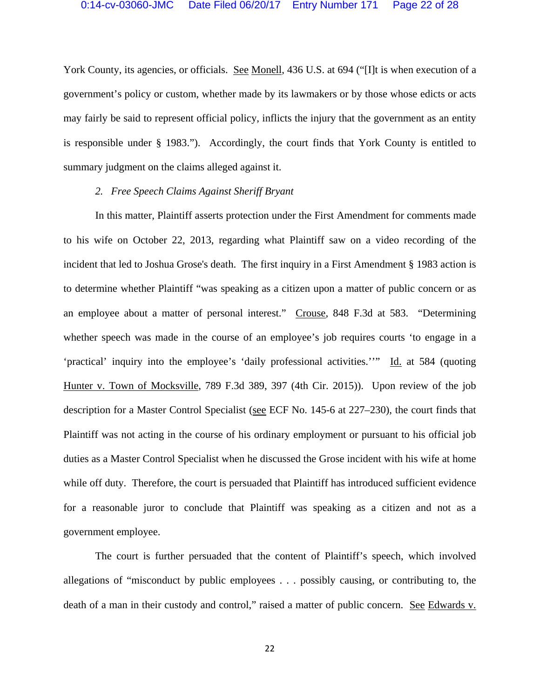York County, its agencies, or officials. See Monell, 436 U.S. at 694 ("[I]t is when execution of a government's policy or custom, whether made by its lawmakers or by those whose edicts or acts may fairly be said to represent official policy, inflicts the injury that the government as an entity is responsible under § 1983."). Accordingly, the court finds that York County is entitled to summary judgment on the claims alleged against it.

## *2. Free Speech Claims Against Sheriff Bryant*

 In this matter, Plaintiff asserts protection under the First Amendment for comments made to his wife on October 22, 2013, regarding what Plaintiff saw on a video recording of the incident that led to Joshua Grose's death. The first inquiry in a First Amendment § 1983 action is to determine whether Plaintiff "was speaking as a citizen upon a matter of public concern or as an employee about a matter of personal interest." Crouse, 848 F.3d at 583. "Determining whether speech was made in the course of an employee's job requires courts 'to engage in a 'practical' inquiry into the employee's 'daily professional activities.''" Id. at 584 (quoting Hunter v. Town of Mocksville, 789 F.3d 389, 397 (4th Cir. 2015)). Upon review of the job description for a Master Control Specialist (see ECF No. 145-6 at 227–230), the court finds that Plaintiff was not acting in the course of his ordinary employment or pursuant to his official job duties as a Master Control Specialist when he discussed the Grose incident with his wife at home while off duty. Therefore, the court is persuaded that Plaintiff has introduced sufficient evidence for a reasonable juror to conclude that Plaintiff was speaking as a citizen and not as a government employee.

 The court is further persuaded that the content of Plaintiff's speech, which involved allegations of "misconduct by public employees . . . possibly causing, or contributing to, the death of a man in their custody and control," raised a matter of public concern. See Edwards v.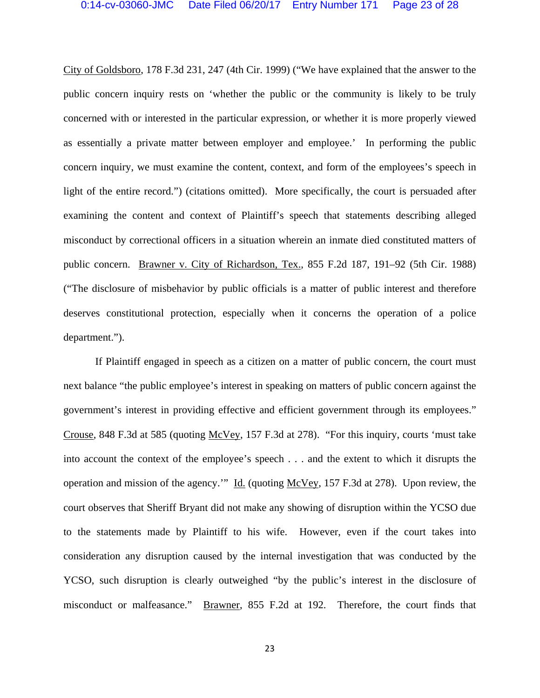City of Goldsboro, 178 F.3d 231, 247 (4th Cir. 1999) ("We have explained that the answer to the public concern inquiry rests on 'whether the public or the community is likely to be truly concerned with or interested in the particular expression, or whether it is more properly viewed as essentially a private matter between employer and employee.' In performing the public concern inquiry, we must examine the content, context, and form of the employees's speech in light of the entire record.") (citations omitted). More specifically, the court is persuaded after examining the content and context of Plaintiff's speech that statements describing alleged misconduct by correctional officers in a situation wherein an inmate died constituted matters of public concern. Brawner v. City of Richardson, Tex., 855 F.2d 187, 191–92 (5th Cir. 1988) ("The disclosure of misbehavior by public officials is a matter of public interest and therefore deserves constitutional protection, especially when it concerns the operation of a police department.").

 If Plaintiff engaged in speech as a citizen on a matter of public concern, the court must next balance "the public employee's interest in speaking on matters of public concern against the government's interest in providing effective and efficient government through its employees." Crouse, 848 F.3d at 585 (quoting McVey, 157 F.3d at 278). "For this inquiry, courts 'must take into account the context of the employee's speech . . . and the extent to which it disrupts the operation and mission of the agency.'" Id. (quoting McVey, 157 F.3d at 278). Upon review, the court observes that Sheriff Bryant did not make any showing of disruption within the YCSO due to the statements made by Plaintiff to his wife. However, even if the court takes into consideration any disruption caused by the internal investigation that was conducted by the YCSO, such disruption is clearly outweighed "by the public's interest in the disclosure of misconduct or malfeasance." Brawner, 855 F.2d at 192. Therefore, the court finds that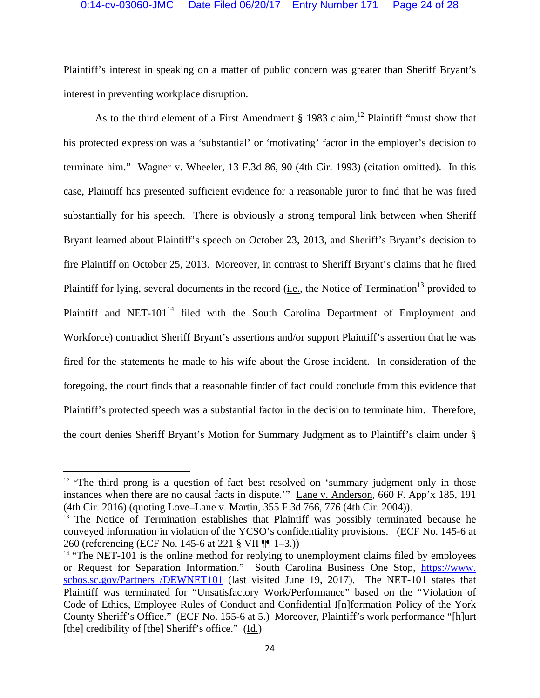Plaintiff's interest in speaking on a matter of public concern was greater than Sheriff Bryant's interest in preventing workplace disruption.

As to the third element of a First Amendment § 1983 claim,<sup>12</sup> Plaintiff "must show that his protected expression was a 'substantial' or 'motivating' factor in the employer's decision to terminate him." Wagner v. Wheeler, 13 F.3d 86, 90 (4th Cir. 1993) (citation omitted). In this case, Plaintiff has presented sufficient evidence for a reasonable juror to find that he was fired substantially for his speech. There is obviously a strong temporal link between when Sheriff Bryant learned about Plaintiff's speech on October 23, 2013, and Sheriff's Bryant's decision to fire Plaintiff on October 25, 2013. Moreover, in contrast to Sheriff Bryant's claims that he fired Plaintiff for lying, several documents in the record (i.e., the Notice of Termination<sup>13</sup> provided to Plaintiff and NET-101<sup>14</sup> filed with the South Carolina Department of Employment and Workforce) contradict Sheriff Bryant's assertions and/or support Plaintiff's assertion that he was fired for the statements he made to his wife about the Grose incident. In consideration of the foregoing, the court finds that a reasonable finder of fact could conclude from this evidence that Plaintiff's protected speech was a substantial factor in the decision to terminate him. Therefore, the court denies Sheriff Bryant's Motion for Summary Judgment as to Plaintiff's claim under §

 $12$  "The third prong is a question of fact best resolved on 'summary judgment only in those instances when there are no causal facts in dispute.'" Lane v. Anderson, 660 F. App'x 185, 191 (4th Cir. 2016) (quoting <u>Love–Lane v. Martin,</u> 355 F.3d 766, 776 (4th Cir. 2004)).<br><sup>13</sup> The Notice of Termination establishes that Plaintiff was possibly terminated because he

conveyed information in violation of the YCSO's confidentiality provisions. (ECF No. 145-6 at 260 (referencing (ECF No. 145-6 at 221 § VII ¶¶ 1–3.))

<sup>&</sup>lt;sup>14</sup> "The NET-101 is the online method for replying to unemployment claims filed by employees or Request for Separation Information." South Carolina Business One Stop, https://www. scbos.sc.gov/Partners /DEWNET101 (last visited June 19, 2017). The NET-101 states that Plaintiff was terminated for "Unsatisfactory Work/Performance" based on the "Violation of Code of Ethics, Employee Rules of Conduct and Confidential I[n]formation Policy of the York County Sheriff's Office." (ECF No. 155-6 at 5.) Moreover, Plaintiff's work performance "[h]urt [the] credibility of [the] Sheriff's office." (Id.)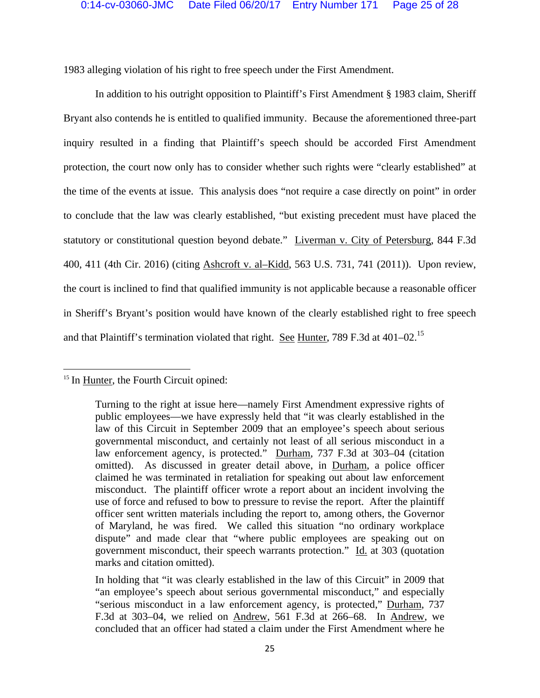1983 alleging violation of his right to free speech under the First Amendment.

 In addition to his outright opposition to Plaintiff's First Amendment § 1983 claim, Sheriff Bryant also contends he is entitled to qualified immunity. Because the aforementioned three-part inquiry resulted in a finding that Plaintiff's speech should be accorded First Amendment protection, the court now only has to consider whether such rights were "clearly established" at the time of the events at issue. This analysis does "not require a case directly on point" in order to conclude that the law was clearly established, "but existing precedent must have placed the statutory or constitutional question beyond debate." Liverman v. City of Petersburg, 844 F.3d 400, 411 (4th Cir. 2016) (citing Ashcroft v. al–Kidd, 563 U.S. 731, 741 (2011)). Upon review, the court is inclined to find that qualified immunity is not applicable because a reasonable officer in Sheriff's Bryant's position would have known of the clearly established right to free speech and that Plaintiff's termination violated that right. See Hunter, 789 F.3d at  $401-02$ .<sup>15</sup>

<sup>&</sup>lt;sup>15</sup> In Hunter, the Fourth Circuit opined:

Turning to the right at issue here—namely First Amendment expressive rights of public employees—we have expressly held that "it was clearly established in the law of this Circuit in September 2009 that an employee's speech about serious governmental misconduct, and certainly not least of all serious misconduct in a law enforcement agency, is protected." Durham, 737 F.3d at 303–04 (citation omitted). As discussed in greater detail above, in Durham, a police officer claimed he was terminated in retaliation for speaking out about law enforcement misconduct. The plaintiff officer wrote a report about an incident involving the use of force and refused to bow to pressure to revise the report. After the plaintiff officer sent written materials including the report to, among others, the Governor of Maryland, he was fired. We called this situation "no ordinary workplace dispute" and made clear that "where public employees are speaking out on government misconduct, their speech warrants protection." Id. at 303 (quotation marks and citation omitted).

In holding that "it was clearly established in the law of this Circuit" in 2009 that "an employee's speech about serious governmental misconduct," and especially "serious misconduct in a law enforcement agency, is protected," Durham, 737 F.3d at 303–04, we relied on Andrew, 561 F.3d at 266–68. In Andrew, we concluded that an officer had stated a claim under the First Amendment where he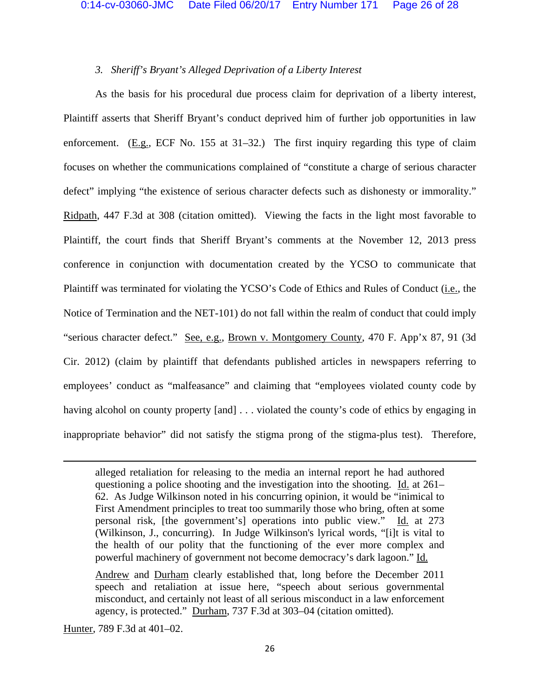# *3. Sheriff's Bryant's Alleged Deprivation of a Liberty Interest*

As the basis for his procedural due process claim for deprivation of a liberty interest, Plaintiff asserts that Sheriff Bryant's conduct deprived him of further job opportunities in law enforcement. (E.g., ECF No. 155 at 31–32.) The first inquiry regarding this type of claim focuses on whether the communications complained of "constitute a charge of serious character defect" implying "the existence of serious character defects such as dishonesty or immorality." Ridpath, 447 F.3d at 308 (citation omitted). Viewing the facts in the light most favorable to Plaintiff, the court finds that Sheriff Bryant's comments at the November 12, 2013 press conference in conjunction with documentation created by the YCSO to communicate that Plaintiff was terminated for violating the YCSO's Code of Ethics and Rules of Conduct (i.e., the Notice of Termination and the NET-101) do not fall within the realm of conduct that could imply "serious character defect." See, e.g., Brown v. Montgomery County, 470 F. App'x 87, 91 (3d) Cir. 2012) (claim by plaintiff that defendants published articles in newspapers referring to employees' conduct as "malfeasance" and claiming that "employees violated county code by having alcohol on county property [and] . . . violated the county's code of ethics by engaging in inappropriate behavior" did not satisfy the stigma prong of the stigma-plus test). Therefore,

<u> 1989 - Johann Stein, marwolaethau a gweledydd a ganlad y ganlad y ganlad y ganlad y ganlad y ganlad y ganlad</u>

Hunter, 789 F.3d at 401–02.

alleged retaliation for releasing to the media an internal report he had authored questioning a police shooting and the investigation into the shooting. Id. at 261– 62. As Judge Wilkinson noted in his concurring opinion, it would be "inimical to First Amendment principles to treat too summarily those who bring, often at some personal risk, [the government's] operations into public view." Id. at 273 (Wilkinson, J., concurring). In Judge Wilkinson's lyrical words, "[i]t is vital to the health of our polity that the functioning of the ever more complex and powerful machinery of government not become democracy's dark lagoon." Id.

Andrew and Durham clearly established that, long before the December 2011 speech and retaliation at issue here, "speech about serious governmental misconduct, and certainly not least of all serious misconduct in a law enforcement agency, is protected." Durham, 737 F.3d at 303–04 (citation omitted).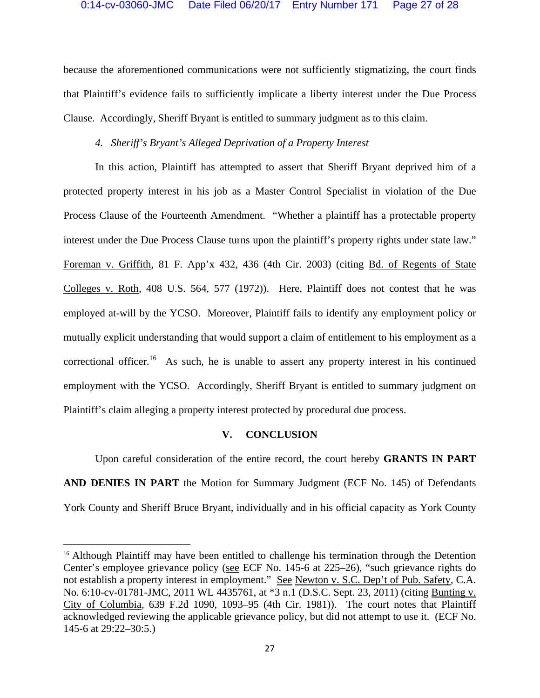because the aforementioned communications were not sufficiently stigmatizing, the court finds that Plaintiff's evidence fails to sufficiently implicate a liberty interest under the Due Process Clause. Accordingly, Sheriff Bryant is entitled to summary judgment as to this claim.

# *4. Sheriff's Bryant's Alleged Deprivation of a Property Interest*

 In this action, Plaintiff has attempted to assert that Sheriff Bryant deprived him of a protected property interest in his job as a Master Control Specialist in violation of the Due Process Clause of the Fourteenth Amendment. "Whether a plaintiff has a protectable property interest under the Due Process Clause turns upon the plaintiff's property rights under state law." Foreman v. Griffith, 81 F. App'x 432, 436 (4th Cir. 2003) (citing Bd. of Regents of State Colleges v. Roth, 408 U.S. 564, 577 (1972)). Here, Plaintiff does not contest that he was employed at-will by the YCSO. Moreover, Plaintiff fails to identify any employment policy or mutually explicit understanding that would support a claim of entitlement to his employment as a correctional officer.<sup>16</sup> As such, he is unable to assert any property interest in his continued employment with the YCSO. Accordingly, Sheriff Bryant is entitled to summary judgment on Plaintiff's claim alleging a property interest protected by procedural due process.

## **V. CONCLUSION**

 Upon careful consideration of the entire record, the court hereby **GRANTS IN PART AND DENIES IN PART** the Motion for Summary Judgment (ECF No. 145) of Defendants York County and Sheriff Bruce Bryant, individually and in his official capacity as York County

<sup>&</sup>lt;sup>16</sup> Although Plaintiff may have been entitled to challenge his termination through the Detention Center's employee grievance policy (see ECF No. 145-6 at 225–26), "such grievance rights do not establish a property interest in employment." See Newton v. S.C. Dep't of Pub. Safety, C.A. No. 6:10-cv-01781-JMC, 2011 WL 4435761, at \*3 n.1 (D.S.C. Sept. 23, 2011) (citing Bunting v. City of Columbia, 639 F.2d 1090, 1093–95 (4th Cir. 1981)). The court notes that Plaintiff acknowledged reviewing the applicable grievance policy, but did not attempt to use it. (ECF No. 145-6 at 29:22–30:5.)